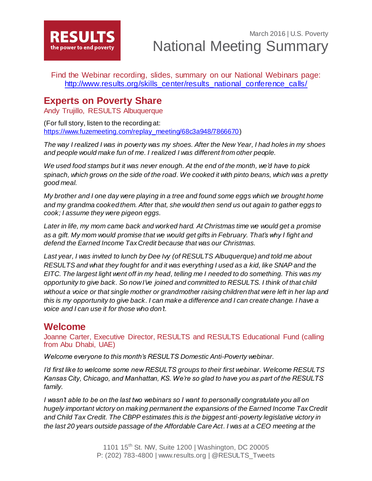

Find the Webinar recording, slides, summary on our National Webinars page: [http://www.results.org/skills\\_center/results\\_national\\_conference\\_calls/](http://www.results.org/skills_center/results_national_conference_calls/)

### **Experts on Poverty Share**

Andy Trujillo, RESULTS Albuquerque

(For full story, listen to the recording at: [https://www.fuzemeeting.com/replay\\_meeting/68c3a948/7866670](https://www.fuzemeeting.com/replay_meeting/68c3a948/7866670))

*The way I realized I was in poverty was my shoes. After the New Year, I had holes in my shoes and people would make fun of me. I realized I was different from other people.*

*We used food stamps but it was never enough. At the end of the month, we'd have to pick spinach, which grows on the side of the road. We cooked it with pinto beans, which was a pretty good meal.*

*My brother and I one day were playing in a tree and found some eggs which we brought home and my grandma cooked them. After that, she would then send us out again to gather eggs to cook; I assume they were pigeon eggs.*

*Later in life, my mom came back and worked hard. At Christmas time we would get a promise as a gift. My mom would promise that we would get gifts in February. That's why I fight and defend the Earned Income Tax Credit because that was our Christmas.*

*Last year, I was invited to lunch by Dee Ivy (of RESULTS Albuquerque) and told me about RESULTS and what they fought for and it was everything I used as a kid, like SNAP and the EITC. The largest light went off in my head, telling me I needed to do something. This was my opportunity to give back. So now I've joined and committed to RESULTS. I think of that child*  without a voice or that single mother or grandmother raising children that were left in her lap and *this is my opportunity to give back. I can make a difference and I can create change. I have a voice and I can use it for those who don't.* 

## **Welcome**

Joanne Carter, Executive Director, RESULTS and RESULTS Educational Fund (calling from Abu Dhabi, UAE)

*Welcome everyone to this month's RESULTS Domestic Anti-Poverty webinar.* 

*I'd first like to welcome some new RESULTS groups to their first webinar. Welcome RESULTS Kansas City, Chicago, and Manhattan, KS. We're so glad to have you as part of the RESULTS family.*

*I* wasn't able to be on the last two webinars so *I* want to personally congratulate you all on *hugely important victory on making permanent the expansions of the Earned Income Tax Credit and Child Tax Credit. The CBPP estimates this is the biggest anti-poverty legislative victory in the last 20 years outside passage of the Affordable Care Act. I was at a CEO meeting at the*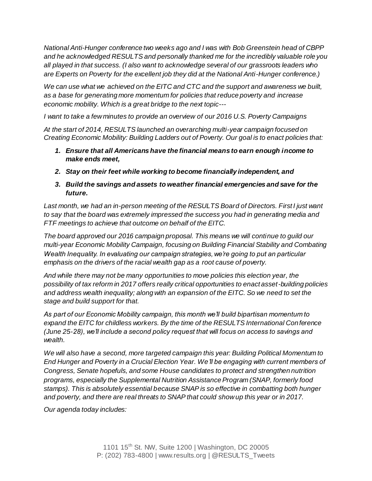*National Anti-Hunger conference two weeks ago and I was with Bob Greenstein head of CBPP and he acknowledged RESULTS and personally thanked me for the incredibly valuable role you all played in that success. (I also want to acknowledge several of our grassroots leaders who are Experts on Poverty for the excellent job they did at the National Anti-Hunger conference.)*

*We can use what we achieved on the EITC and CTC and the support and awareness we built, as a base for generating more momentum for policies that reduce poverty and increase economic mobility. Which is a great bridge to the next topic---*

*I want to take a few minutes to provide an overview of our 2016 U.S. Poverty Campaigns*

*At the start of 2014, RESULTS launched an overarching multi-year campaign focused on Creating Economic Mobility: Building Ladders out of Poverty. Our goal is to enact policies that:* 

- *1. Ensure that all Americans have the financial means to earn enough income to make ends meet,*
- *2. Stay on their feet while working to become financially independent, and*
- *3. Build the savings and assets to weather financial emergencies and save for the future.*

Last month, we had an in-person meeting of the RESULTS Board of Directors. First I just want *to say that the board was extremely impressed the success you had in generating media and FTF meetings to achieve that outcome on behalf of the EITC.* 

*The board approved our 2016 campaign proposal. This means we will continue to guild our multi-year Economic Mobility Campaign, focusing on Building Financial Stability and Combating Wealth Inequality. In evaluating our campaign strategies, we're going to put an particular emphasis on the drivers of the racial wealth gap as a root cause of poverty.* 

*And while there may not be many opportunities to move policies this election year, the possibility of tax reform in 2017 offers really critical opportunities to enact asset-building policies and address wealth inequality; along with an expansion of the EITC. So we need to set the stage and build support for that.* 

*As part of our Economic Mobility campaign, this month we'll build bipartisan momentum to expand the EITC for childless workers. By the time of the RESULTS International Conference (June 25-28), we'll include a second policy request that will focus on access to savings and wealth.* 

*We will also have a second, more targeted campaign this year: Building Political Momentum to End Hunger and Poverty in a Crucial Election Year. We'll be engaging with current members of Congress, Senate hopefuls, and some House candidates to protect and strengthen nutrition programs, especially the Supplemental Nutrition Assistance Program (SNAP, formerly food stamps). This is absolutely essential because SNAP is so effective in combatting both hunger and poverty, and there are real threats to SNAP that could show up this year or in 2017.* 

*Our agenda today includes:*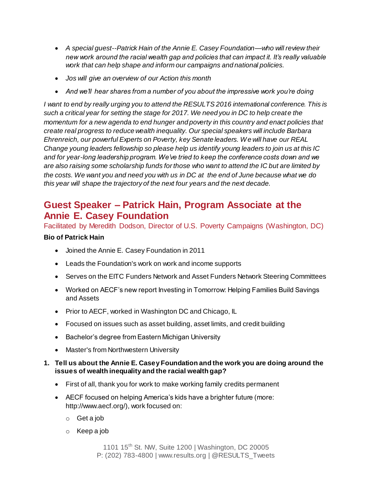- *A special guest--Patrick Hain of the Annie E. Casey Foundation—who will review their new work around the racial wealth gap and policies that can impact it. It's really valuable work that can help shape and inform our campaigns and national policies.*
- *Jos will give an overview of our Action this month*
- *And we'll hear shares from a number of you about the impressive work you're doing*

*I want to end by really urging you to attend the RESULTS 2016 international conference. This is such a critical year for setting the stage for 2017. We need you in DC to help create the momentum for a new agenda to end hunger and poverty in this country and enact policies that create real progress to reduce wealth inequality. Our special speakers will include Barbara Ehrenreich, our powerful Experts on Poverty, key Senate leaders. We will have our REAL Change young leaders fellowship so please help us identify young leaders to join us at this IC and for year-long leadership program. We've tried to keep the conference costs down and we are also raising some scholarship funds for those who want to attend the IC but are limited by the costs. We want you and need you with us in DC at the end of June because what we do this year will shape the trajectory of the next four years and the next decade.*

# **Guest Speaker – Patrick Hain, Program Associate at the Annie E. Casey Foundation**

Facilitated by Meredith Dodson, Director of U.S. Poverty Campaigns (Washington, DC)

### **Bio of Patrick Hain**

- Joined the Annie E. Casey Foundation in 2011
- Leads the Foundation's work on work and income supports
- Serves on the EITC Funders Network and Asset Funders Network Steering Committees
- Worked on AECF's new report Investing in Tomorrow: Helping Families Build Savings and Assets
- Prior to AECF, worked in Washington DC and Chicago, IL
- Focused on issues such as asset building, asset limits, and credit building
- Bachelor's degree from Eastern Michigan University
- Master's from Northwestern University

### **1. Tell us about the Annie E. Casey Foundation and the work you are doing around the issues of wealth inequality and the racial wealth gap?**

- First of all, thank you for work to make working family credits permanent
- AECF focused on helping America's kids have a brighter future (more: http://www.aecf.org/), work focused on:
	- o Get a job
	- o Keep a job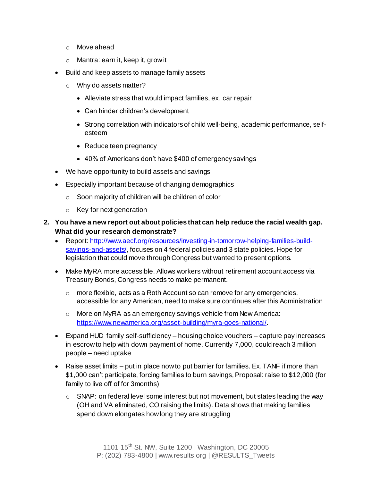- o Move ahead
- o Mantra: earn it, keep it, grow it
- Build and keep assets to manage family assets
	- o Why do assets matter?
		- Alleviate stress that would impact families, ex. car repair
		- Can hinder children's development
		- Strong correlation with indicators of child well-being, academic performance, selfesteem
		- Reduce teen pregnancy
		- 40% of Americans don't have \$400 of emergency savings
- We have opportunity to build assets and savings
- Especially important because of changing demographics
	- o Soon majority of children will be children of color
	- o Key for next generation
- **2. You have a new report out about policies that can help reduce the racial wealth gap. What did your research demonstrate?**
	- Report[: http://www.aecf.org/resources/investing-in-tomorrow-helping-families-build](http://www.aecf.org/resources/investing-in-tomorrow-helping-families-build-savings-and-assets/)[savings-and-assets/](http://www.aecf.org/resources/investing-in-tomorrow-helping-families-build-savings-and-assets/), focuses on 4 federal policies and 3 state policies. Hope for legislation that could move through Congress but wanted to present options.
	- Make MyRA more accessible. Allows workers without retirement account access via Treasury Bonds, Congress needs to make permanent.
		- $\circ$  more flexible, acts as a Roth Account so can remove for any emergencies, accessible for any American, need to make sure continues after this Administration
		- o More on MyRA as an emergency savings vehicle from New America: <https://www.newamerica.org/asset-building/myra-goes-national/>.
	- Expand HUD family self-sufficiency housing choice vouchers capture pay increases in escrow to help with down payment of home. Currently 7,000, could reach 3 million people – need uptake
	- Raise asset limits put in place now to put barrier for families. Ex. TANF if more than \$1,000 can't participate, forcing families to burn savings, Proposal: raise to \$12,000 (for family to live off of for 3months)
		- o SNAP: on federal level some interest but not movement, but states leading the way (OH and VA eliminated, CO raising the limits). Data shows that making families spend down elongates how long they are struggling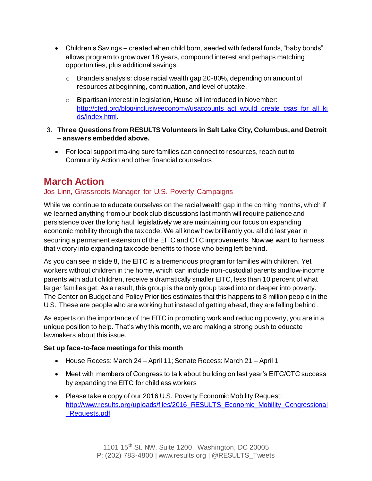- Children's Savings created when child born, seeded with federal funds, "baby bonds" allows program to grow over 18 years, compound interest and perhaps matching opportunities, plus additional savings.
	- $\circ$  Brandeis analysis: close racial wealth gap 20-80%, depending on amount of resources at beginning, continuation, and level of uptake.
	- o Bipartisan interest in legislation, House bill introduced in November: [http://cfed.org/blog/inclusiveeconomy/usaccounts\\_act\\_would\\_create\\_csas\\_for\\_all\\_ki](http://cfed.org/blog/inclusiveeconomy/usaccounts_act_would_create_csas_for_all_kids/index.html) [ds/index.html.](http://cfed.org/blog/inclusiveeconomy/usaccounts_act_would_create_csas_for_all_kids/index.html)
- 3. **Three Questions from RESULTS Volunteers in Salt Lake City, Columbus, and Detroit – answers embedded above.** 
	- For local support making sure families can connect to resources, reach out to Community Action and other financial counselors.

# **March Action**

### Jos Linn, Grassroots Manager for U.S. Poverty Campaigns

While we continue to educate ourselves on the racial wealth gap in the coming months, which if we learned anything from our book club discussions last month will require patience and persistence over the long haul, legislatively we are maintaining our focus on expanding economic mobility through the tax code. We all know how brilliantly you all did last year in securing a permanent extension of the EITC and CTC improvements. Now we want to harness that victory into expanding tax code benefits to those who being left behind.

As you can see in slide 8, the EITC is a tremendous program for families with children. Yet workers without children in the home, which can include non-custodial parents and low-income parents with adult children, receive a dramatically smaller EITC, less than 10 percent of what larger families get. As a result, this group is the only group taxed into or deeper into poverty. The Center on Budget and Policy Priorities estimates that this happens to 8 million people in the U.S. These are people who are working but instead of getting ahead, they are falling behind.

As experts on the importance of the EITC in promoting work and reducing poverty, you are in a unique position to help. That's why this month, we are making a strong push to educate lawmakers about this issue.

### **Set up face-to-face meetings for this month**

- House Recess: March 24 April 11; Senate Recess: March 21 April 1
- Meet with members of Congress to talk about building on last year's EITC/CTC success by expanding the EITC for childless workers
- Please take a copy of our 2016 U.S. Poverty Economic Mobility Request: http://www.results.org/uploads/files/2016 RESULTS Economic Mobility Congressional [\\_Requests.pdf](http://www.results.org/uploads/files/2016_RESULTS_Economic_Mobility_Congressional_Requests.pdf)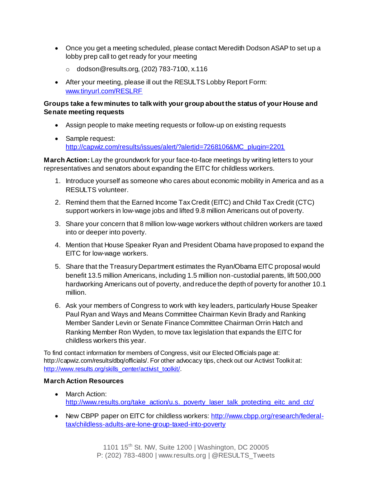- Once you get a meeting scheduled, please contact Meredith Dodson ASAP to set up a lobby prep call to get ready for your meeting
	- o dodson@results.org, (202) 783-7100, x.116
- After your meeting, please ill out the RESULTS Lobby Report Form: [www.tinyurl.com/RESLRF](http://www.tinyurl.com/RESLRF)

#### **Groups take a few minutes to talk with your group about the status of your House and Senate meeting requests**

- Assign people to make meeting requests or follow-up on existing requests
- Sample request: [http://capwiz.com/results/issues/alert/?alertid=7268106&MC\\_plugin=2201](http://capwiz.com/results/issues/alert/?alertid=7268106&MC_plugin=2201)

**March Action:** Lay the groundwork for your face-to-face meetings by writing letters to your representatives and senators about expanding the EITC for childless workers.

- 1. Introduce yourself as someone who cares about economic mobility in America and as a RESULTS volunteer.
- 2. Remind them that the Earned Income Tax Credit (EITC) and Child Tax Credit (CTC) support workers in low-wage jobs and lifted 9.8 million Americans out of poverty.
- 3. Share your concern that 8 million low-wage workers without children workers are taxed into or deeper into poverty.
- 4. Mention that House Speaker Ryan and President Obama have proposed to expand the EITC for low-wage workers.
- 5. Share that the Treasury Department estimates the Ryan/Obama EITC proposal would benefit 13.5 million Americans, including 1.5 million non-custodial parents, lift 500,000 hardworking Americans out of poverty, and reduce the depth of poverty for another 10.1 million.
- 6. Ask your members of Congress to work with key leaders, particularly House Speaker Paul Ryan and Ways and Means Committee Chairman Kevin Brady and Ranking Member Sander Levin or Senate Finance Committee Chairman Orrin Hatch and Ranking Member Ron Wyden, to move tax legislation that expands the EITC for childless workers this year.

To find contact information for members of Congress, visit our Elected Officials page at: http://capwiz.com/results/dbq/officials/. For other advocacy tips, check out our Activist Toolkit at: [http://www.results.org/skills\\_center/activist\\_toolkit/](http://www.results.org/skills_center/activist_toolkit/).

### **March Action Resources**

- March Action: [http://www.results.org/take\\_action/u.s.\\_poverty\\_laser\\_talk\\_protecting\\_eitc\\_and\\_ctc/](http://www.results.org/take_action/u.s._poverty_laser_talk_protecting_eitc_and_ctc/)
- New CBPP paper on EITC for childless workers[: http://www.cbpp.org/research/federal](http://www.cbpp.org/research/federal-tax/childless-adults-are-lone-group-taxed-into-poverty)[tax/childless-adults-are-lone-group-taxed-into-poverty](http://www.cbpp.org/research/federal-tax/childless-adults-are-lone-group-taxed-into-poverty)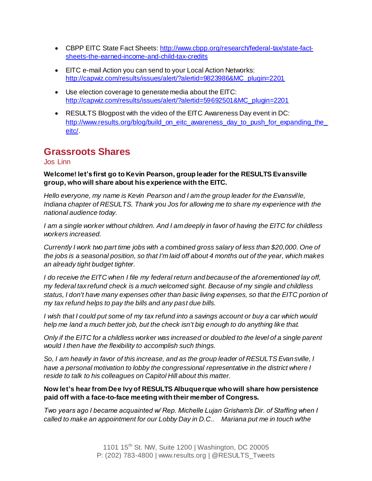- CBPP EITC State Fact Sheets[: http://www.cbpp.org/research/federal-tax/state-fact](http://www.cbpp.org/research/federal-tax/state-fact-sheets-the-earned-income-and-child-tax-credits)[sheets-the-earned-income-and-child-tax-credits](http://www.cbpp.org/research/federal-tax/state-fact-sheets-the-earned-income-and-child-tax-credits)
- EITC e-mail Action you can send to your Local Action Networks: [http://capwiz.com/results/issues/alert/?alertid=9823986&MC\\_plugin=2201](http://capwiz.com/results/issues/alert/?alertid=9823986&MC_plugin=2201)
- Use election coverage to generate media about the EITC: [http://capwiz.com/results/issues/alert/?alertid=59692501&MC\\_plugin=2201](http://capwiz.com/results/issues/alert/?alertid=59692501&MC_plugin=2201)
- RESULTS Blogpost with the video of the EITC Awareness Day event in DC: http://www.results.org/blog/build\_on\_eitc\_awareness\_day\_to\_push\_for\_expanding\_the [eitc/.](http://www.results.org/blog/build_on_eitc_awareness_day_to_push_for_expanding_the_eitc/)

# **Grassroots Shares**

### Jos Linn

#### **Welcome! let's first go to Kevin Pearson, group leader for the RESULTS Evansville group, who will share about his experience with the EITC.**

*Hello everyone, my name is Kevin Pearson and I am the group leader for the Evansville, Indiana chapter of RESULTS. Thank you Jos for allowing me to share my experience with the national audience today.*

*I am a single worker without children. And I am deeply in favor of having the EITC for childless workers increased.*

*Currently I work two part time jobs with a combined gross salary of less than \$20,000. One of the jobs is a seasonal position, so that I'm laid off about 4 months out of the year, which makes an already tight budget tighter.*

*I do receive the EITC when I file my federal return and because of the aforementioned lay off, my federal tax refund check is a much welcomed sight. Because of my single and childless status, I don't have many expenses other than basic living expenses, so that the EITC portion of my tax refund helps to pay the bills and any past due bills.*

*I wish that I could put some of my tax refund into a savings account or buy a car which would help me land a much better job, but the check isn't big enough to do anything like that.*

*Only if the EITC for a childless worker was increased or doubled to the level of a single parent would I then have the flexibility to accomplish such things.*

*So, I am heavily in favor of this increase, and as the group leader of RESULTS Evansville, I have a personal motivation to lobby the congressional representative in the district where I reside to talk to his colleagues on Capitol Hill about this matter.*

### **Now let's hear from Dee Ivy of RESULTS Albuquerque who will share how persistence paid off with a face-to-face meeting with their member of Congress.**

*Two years ago I became acquainted w/ Rep. Michelle Lujan Grisham's Dir. of Staffing when I called to make an appointment for our Lobby Day in D.C.. Mariana put me in touch w/the*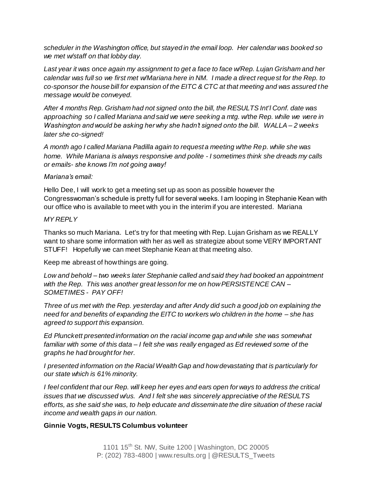*scheduler in the Washington office, but stayed in the email loop. Her calendar was booked so we met w/staff on that lobby day.*

*Last year it was once again my assignment to get a face to face w/Rep. Lujan Grisham and her calendar was full so we first met w/Mariana here in NM. I made a direct request for the Rep. to co-sponsor the house bill for expansion of the EITC & CTC at that meeting and was assured the message would be conveyed.* 

*After 4 months Rep. Grisham had not signed onto the bill, the RESULTS Int'l Conf. date was approaching so I called Mariana and said we were seeking a mtg. w/the Rep. while we were in Washington and would be asking her why she hadn't signed onto the bill. WALLA – 2 weeks later she co-signed!* 

*A month ago I called Mariana Padilla again to request a meeting w/the Rep. while she was home. While Mariana is always responsive and polite - I sometimes think she dreads my calls or emails- she knows I'm not going away!* 

#### *Mariana's email:*

Hello Dee, I will work to get a meeting set up as soon as possible however the Congresswoman's schedule is pretty full for several weeks. I am looping in Stephanie Kean with our office who is available to meet with you in the interim if you are interested. Mariana

#### *MY REPLY*

Thanks so much Mariana. Let's try for that meeting with Rep. Lujan Grisham as we REALLY want to share some information with her as well as strategize about some VERY IMPORTANT STUFF! Hopefully we can meet Stephanie Kean at that meeting also.

Keep me abreast of how things are going.

*Low and behold – two weeks later Stephanie called and said they had booked an appointment with the Rep. This was another great lesson for me on how PERSISTENCE CAN – SOMETIMES - PAY OFF!*

*Three of us met with the Rep. yesterday and after Andy did such a good job on explaining the need for and benefits of expanding the EITC to workers w/o children in the home – she has agreed to support this expansion.*

*Ed Plunckett presented information on the racial income gap and while she was somewhat familiar with some of this data – I felt she was really engaged as Ed reviewed some of the graphs he had brought for her.*

*I presented information on the Racial Wealth Gap and how devastating that is particularly for our state which is 61% minority.*

*I feel confident that our Rep. will keep her eyes and ears open for ways to address the critical issues that we discussed w/us. And I felt she was sincerely appreciative of the RESULTS efforts, as she said she was, to help educate and disseminate the dire situation of these racial income and wealth gaps in our nation.* 

#### **Ginnie Vogts, RESULTS Columbus volunteer**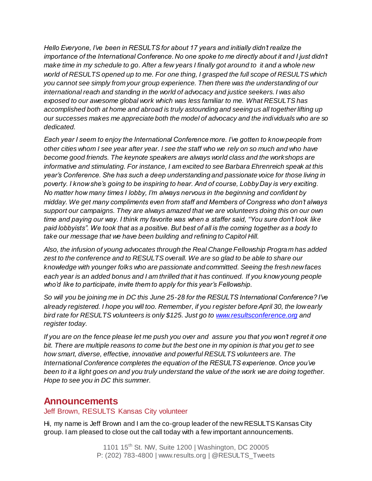*Hello Everyone, I've been in RESULTS for about 17 years and initially didn't realize the importance of the International Conference. No one spoke to me directly about it and I just didn't make time in my schedule to go. After a few years I finally got around to it and a whole new world of RESULTS opened up to me. For one thing, I grasped the full scope of RESULTS which you cannot see simply from your group experience. Then there was the understanding of our international reach and standing in the world of advocacy and justice seekers. I was also exposed to our awesome global work which was less familiar to me. What RESULTS has accomplished both at home and abroad is truly astounding and seeing us all together lifting up our successes makes me appreciate both the model of advocacy and the individuals who are so dedicated.* 

*Each year I seem to enjoy the International Conference more. I've gotten to know people from other cities whom I see year after year. I see the staff who we rely on so much and who have become good friends. The keynote speakers are always world class and the workshops are informative and stimulating. For instance, I am excited to see Barbara Ehrenreich speak at this year's Conference. She has such a deep understanding and passionate voice for those living in poverty. I know she's going to be inspiring to hear. And of course, Lobby Day is very exciting. No matter how many times I lobby, I'm always nervous in the beginning and confident by midday. We get many compliments even from staff and Members of Congress who don't always support our campaigns. They are always amazed that we are volunteers doing this on our own time and paying our way. I think my favorite was when a staffer said, "You sure don't look like paid lobbyists". We took that as a positive. But best of all is the coming together as a body to take our message that we have been building and refining to Capitol Hill.* 

*Also, the infusion of young advocates through the Real Change Fellowship Program has added zest to the conference and to RESULTS overall. We are so glad to be able to share our knowledge with younger folks who are passionate and committed. Seeing the fresh new faces each year is an added bonus and I am thrilled that it has continued. If you know young people who'd like to participate, invite them to apply for this year's Fellowship.*

*So will you be joining me in DC this June 25-28 for the RESULTS International Conference? I've already registered. I hope you will too. Remember, if you register before April 30, the low early bird rate for RESULTS volunteers is only \$125. Just go t[o www.resultsconference.org](http://www.resultsconference.org/) and register today.* 

*If you are on the fence please let me push you over and assure you that you won't regret it one bit. There are multiple reasons to come but the best one in my opinion is that you get to see how smart, diverse, effective, innovative and powerful RESULTS volunteers are. The International Conference completes the equation of the RESULTS experience. Once you've been to it a light goes on and you truly understand the value of the work we are doing together. Hope to see you in DC this summer.*

### **Announcements**

### Jeff Brown, RESULTS Kansas City volunteer

Hi, my name is Jeff Brown and I am the co-group leader of the new RESULTS Kansas City group. I am pleased to close out the call today with a few important announcements.